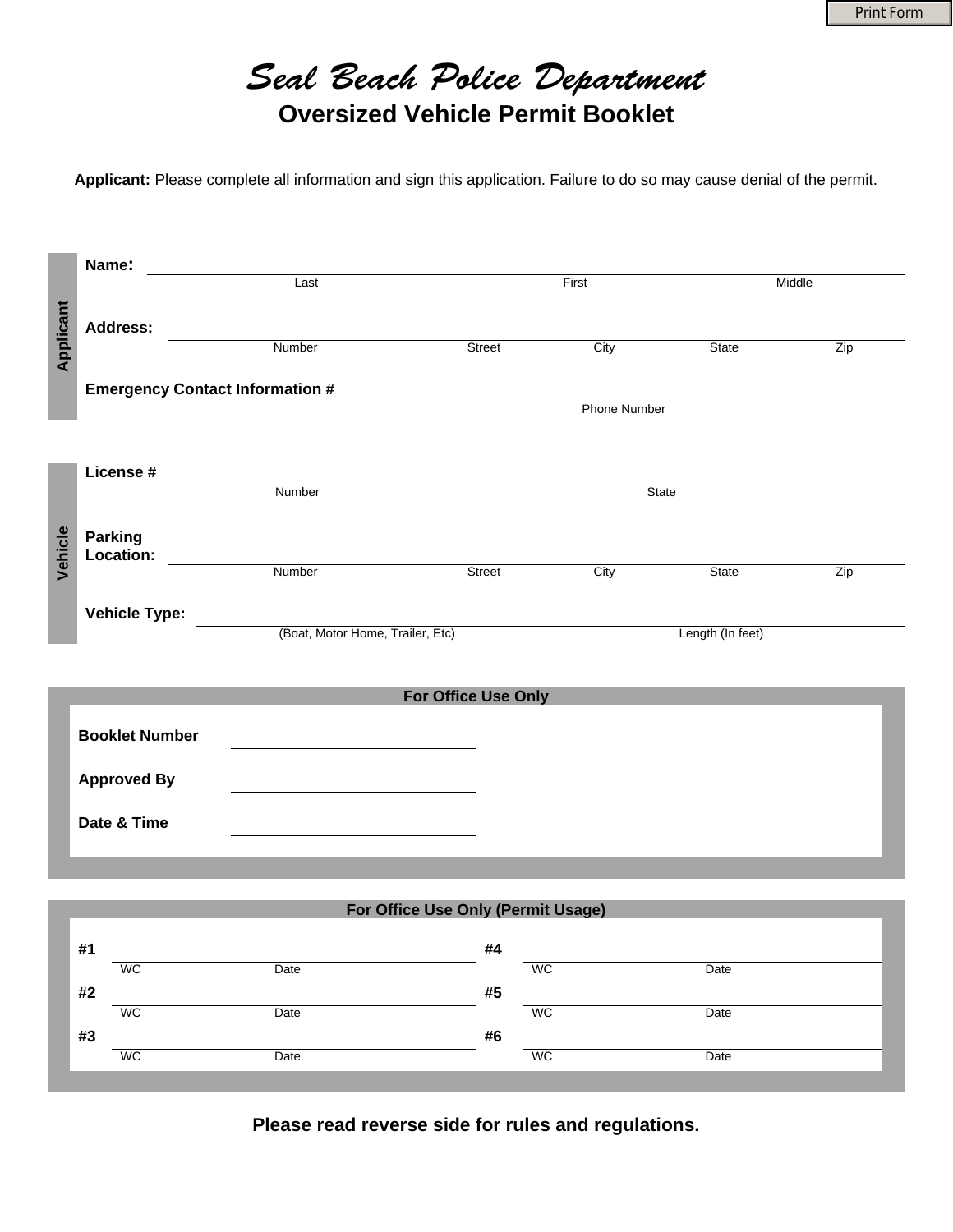

**Applicant:** Please complete all information and sign this application. Failure to do so may cause denial of the permit.

|           | Name:                                  |                                  |                     |                  |        |     |  |  |
|-----------|----------------------------------------|----------------------------------|---------------------|------------------|--------|-----|--|--|
|           |                                        | Last                             | First               |                  | Middle |     |  |  |
|           |                                        |                                  |                     |                  |        |     |  |  |
|           | <b>Address:</b>                        |                                  |                     |                  |        |     |  |  |
| Applicant |                                        | Number                           | Street              | City             | State  | Zip |  |  |
|           | <b>Emergency Contact Information #</b> |                                  |                     |                  |        |     |  |  |
|           |                                        |                                  | <b>Phone Number</b> |                  |        |     |  |  |
|           |                                        |                                  |                     |                  |        |     |  |  |
|           |                                        |                                  |                     |                  |        |     |  |  |
|           | License #                              |                                  |                     |                  |        |     |  |  |
|           |                                        | Number                           |                     | State            |        |     |  |  |
|           |                                        |                                  |                     |                  |        |     |  |  |
|           | Parking<br>Location:                   |                                  |                     |                  |        |     |  |  |
| Vehicle   |                                        | Number                           | Street              | City             | State  | Zip |  |  |
|           |                                        |                                  |                     |                  |        |     |  |  |
|           | <b>Vehicle Type:</b>                   |                                  |                     |                  |        |     |  |  |
|           |                                        | (Boat, Motor Home, Trailer, Etc) |                     | Length (In feet) |        |     |  |  |
|           |                                        |                                  |                     |                  |        |     |  |  |
|           |                                        |                                  |                     |                  |        |     |  |  |
|           | For Office Use Only                    |                                  |                     |                  |        |     |  |  |
|           | <b>Booklet Number</b>                  |                                  |                     |                  |        |     |  |  |
|           |                                        |                                  |                     |                  |        |     |  |  |
|           | <b>Approved By</b>                     |                                  |                     |                  |        |     |  |  |
|           |                                        |                                  |                     |                  |        |     |  |  |
|           | Date & Time                            |                                  |                     |                  |        |     |  |  |
|           |                                        |                                  |                     |                  |        |     |  |  |
|           |                                        |                                  |                     |                  |        |     |  |  |

| For Office Use Only (Permit Usage) |           |      |    |           |      |  |  |  |  |
|------------------------------------|-----------|------|----|-----------|------|--|--|--|--|
| #1                                 |           |      | #4 |           |      |  |  |  |  |
|                                    | <b>WC</b> | Date |    | <b>WC</b> | Date |  |  |  |  |
| #2                                 |           |      | #5 |           |      |  |  |  |  |
|                                    | <b>WC</b> | Date |    | <b>WC</b> | Date |  |  |  |  |
| #3                                 |           |      | #6 |           |      |  |  |  |  |
|                                    | <b>WC</b> | Date |    | <b>WC</b> | Date |  |  |  |  |
|                                    |           |      |    |           |      |  |  |  |  |

**Please read reverse side for rules and regulations.**